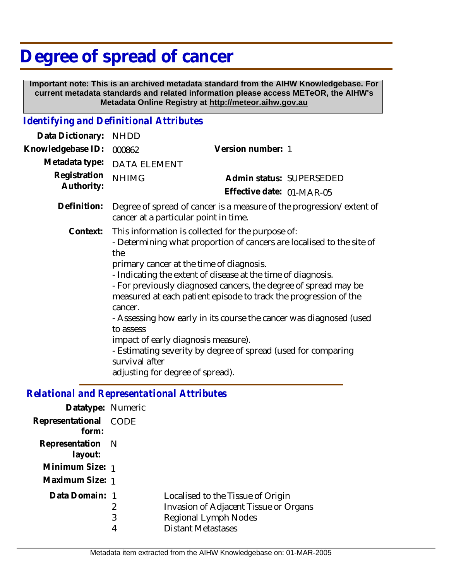# **Degree of spread of cancer**

 **Important note: This is an archived metadata standard from the AIHW Knowledgebase. For current metadata standards and related information please access METeOR, the AIHW's Metadata Online Registry at http://meteor.aihw.gov.au**

## *Identifying and Definitional Attributes*

| Data Dictionary:           | <b>NHDD</b>                                                                                                                                                                                                                                                                                                                                                                                                                                                                                                                                                                                                                                      |                                                       |
|----------------------------|--------------------------------------------------------------------------------------------------------------------------------------------------------------------------------------------------------------------------------------------------------------------------------------------------------------------------------------------------------------------------------------------------------------------------------------------------------------------------------------------------------------------------------------------------------------------------------------------------------------------------------------------------|-------------------------------------------------------|
| Knowledgebase ID:          | 000862                                                                                                                                                                                                                                                                                                                                                                                                                                                                                                                                                                                                                                           | Version number: 1                                     |
| Metadata type:             | <b>DATA ELEMENT</b>                                                                                                                                                                                                                                                                                                                                                                                                                                                                                                                                                                                                                              |                                                       |
| Registration<br>Authority: | <b>NHIMG</b>                                                                                                                                                                                                                                                                                                                                                                                                                                                                                                                                                                                                                                     | Admin status: SUPERSEDED<br>Effective date: 01-MAR-05 |
| Definition:                | Degree of spread of cancer is a measure of the progression/extent of<br>cancer at a particular point in time.                                                                                                                                                                                                                                                                                                                                                                                                                                                                                                                                    |                                                       |
| Context:                   | This information is collected for the purpose of:<br>- Determining what proportion of cancers are localised to the site of<br>the<br>primary cancer at the time of diagnosis.<br>- Indicating the extent of disease at the time of diagnosis.<br>- For previously diagnosed cancers, the degree of spread may be<br>measured at each patient episode to track the progression of the<br>cancer.<br>- Assessing how early in its course the cancer was diagnosed (used<br>to assess<br>impact of early diagnosis measure).<br>- Estimating severity by degree of spread (used for comparing<br>survival after<br>adjusting for degree of spread). |                                                       |

# *Relational and Representational Attributes*

| Datatype: Numeric              |             |                                                                                                                                        |
|--------------------------------|-------------|----------------------------------------------------------------------------------------------------------------------------------------|
| Representational CODE<br>form: |             |                                                                                                                                        |
| Representation N<br>layout:    |             |                                                                                                                                        |
| Minimum Size: 1                |             |                                                                                                                                        |
| Maximum Size: 1                |             |                                                                                                                                        |
| Data Domain: 1                 | 2<br>3<br>4 | Localised to the Tissue of Origin<br>Invasion of Adjacent Tissue or Organs<br><b>Regional Lymph Nodes</b><br><b>Distant Metastases</b> |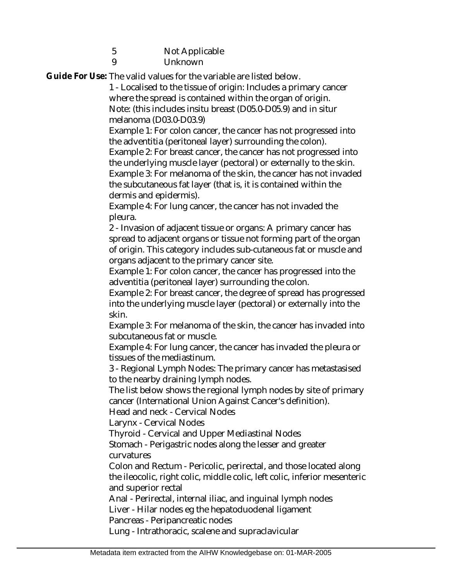- 5 Not Applicable
	- Unknown

 $\overline{Q}$ 

Guide For Use: The valid values for the variable are listed below.

1 - Localised to the tissue of origin: Includes a primary cancer where the spread is contained within the organ of origin. Note: (this includes insitu breast (D05.0-D05.9) and in situr melanoma (D03.0-D03.9)

Example 1: For colon cancer, the cancer has not progressed into the adventitia (peritoneal layer) surrounding the colon).

Example 2: For breast cancer, the cancer has not progressed into the underlying muscle layer (pectoral) or externally to the skin. Example 3: For melanoma of the skin, the cancer has not invaded the subcutaneous fat layer (that is, it is contained within the dermis and epidermis).

Example 4: For lung cancer, the cancer has not invaded the pleura.

2 - Invasion of adjacent tissue or organs: A primary cancer has spread to adjacent organs or tissue not forming part of the organ of origin. This category includes sub-cutaneous fat or muscle and organs adjacent to the primary cancer site.

Example 1: For colon cancer, the cancer has progressed into the adventitia (peritoneal layer) surrounding the colon.

Example 2: For breast cancer, the degree of spread has progressed into the underlying muscle layer (pectoral) or externally into the skin.

Example 3: For melanoma of the skin, the cancer has invaded into subcutaneous fat or muscle.

Example 4: For lung cancer, the cancer has invaded the pleura or tissues of the mediastinum.

3 - Regional Lymph Nodes: The primary cancer has metastasised to the nearby draining lymph nodes.

The list below shows the regional lymph nodes by site of primary cancer (International Union Against Cancer's definition).

Head and neck - Cervical Nodes

Larynx - Cervical Nodes

Thyroid - Cervical and Upper Mediastinal Nodes

Stomach - Perigastric nodes along the lesser and greater curvatures

Colon and Rectum - Pericolic, perirectal, and those located along the ileocolic, right colic, middle colic, left colic, inferior mesenteric and superior rectal

Anal - Perirectal, internal iliac, and inguinal lymph nodes Liver - Hilar nodes eg the hepatoduodenal ligament Pancreas - Peripancreatic nodes

Lung - Intrathoracic, scalene and supraclavicular